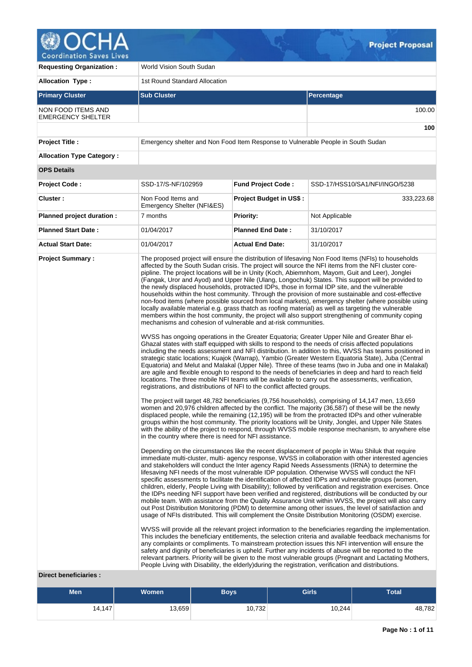

**Requesting Organization : World Vision South Sudan Allocation Type :** 1st Round Standard Allocation **Primary Cluster Sub Cluster Sub Cluster** Sub Cluster Sub Cluster Sub Cluster Sub Cluster Sub Cluster Sub Cluster NON FOOD ITEMS AND EMERGENCY SHELTER 100.00 **100 Project Title :** Emergency shelter and Non Food Item Response to Vulnerable People in South Sudan **Allocation Type Category : OPS Details Project Code :** SSD-17/S-NF/102959 **Fund Project Code :** SSD-17/HSS10/SA1/NFI/INGO/5238 **Cluster :** Non Food Items and Emergency Shelter (NFI&ES) **Project Budget in US\$ :**  $\left| \right|$  333,223.68 **Planned project duration :** 7 months **Priority:** Not Applicable **Planned Start Date :** 01/04/2017 **Planned End Date :** 31/10/2017 **Actual Start Date:** 01/04/2017 **Actual End Date:** 31/10/2017 **Project Summary :** The proposed project will ensure the distribution of lifesaving Non Food Items (NFIs) to households affected by the South Sudan crisis. The project will source the NFI items from the NFI cluster corepipline. The project locations will be in Unity (Koch, Abiemnhom, Mayom, Guit and Leer), Jonglei (Fangak, Uror and Ayod) and Upper Nile (Ulang, Longochuk) States. This support will be provided to the newly displaced households, protracted IDPs, those in formal IDP site, and the vulnerable households within the host community. Through the provision of more sustainable and cost-effective non-food items (where possible sourced from local markets), emergency shelter (where possible using locally available material e.g. grass thatch as roofing material) as well as targeting the vulnerable members within the host community, the project will also support strengthening of community coping mechanisms and cohesion of vulnerable and at-risk communities. WVSS has ongoing operations in the Greater Equatoria; Greater Upper Nile and Greater Bhar el-Ghazal states with staff equipped with skills to respond to the needs of crisis affected populations including the needs assessment and NFI distribution. In addition to this, WVSS has teams positioned in strategic static locations; Kuajok (Warrap), Yambio (Greater Western Equatoria State), Juba (Central Equatoria) and Melut and Malakal (Upper Nile). Three of these teams (two in Juba and one in Malakal) are agile and flexible enough to respond to the needs of beneficiaries in deep and hard to reach field locations. The three mobile NFI teams will be available to carry out the assessments, verification, registrations, and distributions of NFI to the conflict affected groups. The project will target 48,782 beneficiaries (9,756 households), comprising of 14,147 men, 13,659 women and 20,976 children affected by the conflict. The majority (36,587) of these will be the newly displaced people, while the remaining (12,195) will be from the protracted IDPs and other vulnerable groups within the host community. The priority locations will be Unity, Jonglei, and Upper Nile States with the ability of the project to respond, through WVSS mobile response mechanism, to anywhere else in the country where there is need for NFI assistance. Depending on the circumstances like the recent displacement of people in Wau Shiluk that require immediate multi-cluster, multi- agency response, WVSS in collaboration with other interested agencies and stakeholders will conduct the Inter agency Rapid Needs Assessments (IRNA) to determine the lifesaving NFI needs of the most vulnerable IDP population. Otherwise WVSS will conduct the NFI specific assessments to facilitate the identification of affected IDPs and vulnerable groups (women, children, elderly, People Living with Disability); followed by verification and registration exercises. Once the IDPs needing NFI support have been verified and registered, distributions will be conducted by our mobile team. With assistance from the Quality Assurance Unit within WVSS, the project will also carry out Post Distribution Monitoring (PDM) to determine among other issues, the level of satisfaction and usage of NFIs distributed. This will complement the Onsite Distribution Monitoring (OSDM) exercise. WVSS will provide all the relevant project information to the beneficiaries regarding the implementation. This includes the beneficiary entitlements, the selection criteria and available feedback mechanisms for any complaints or compliments. To mainstream protection issues this NFI intervention will ensure the safety and dignity of beneficiaries is upheld. Further any incidents of abuse will be reported to the relevant partners. Priority will be given to the most vulnerable groups (Pregnant and Lactating Mothers, People Living with Disability, the elderly)during the registration, verification and distributions.

### **Direct beneficiaries :**

| <b>Men</b> | <b>Women</b> | <b>Boys</b> | <b>Girls</b> | <b>Total</b> |
|------------|--------------|-------------|--------------|--------------|
| 14,147     | 13,659       | 10,732      | 10,244       | 48,782       |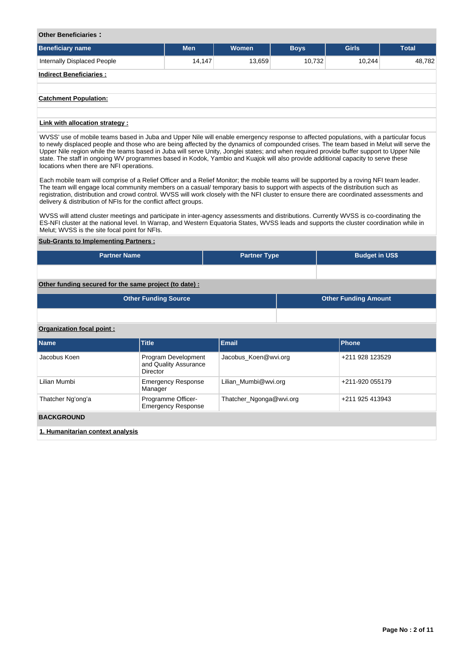### **Other Beneficiaries :**

| <b>Beneficiary name</b>        | <b>Men</b> | <b>Women</b> | <b>Boys</b> | <b>Girls</b> | <b>Total</b> |
|--------------------------------|------------|--------------|-------------|--------------|--------------|
| Internally Displaced People    | 14,147     | 13,659       | 10,732      | 10,244       | 48,782       |
| <b>Indirect Beneficiaries:</b> |            |              |             |              |              |
|                                |            |              |             |              |              |
| <b>Catchment Population:</b>   |            |              |             |              |              |
|                                |            |              |             |              |              |
| Link with allocation strategy: |            |              |             |              |              |

WVSS' use of mobile teams based in Juba and Upper Nile will enable emergency response to affected populations, with a particular focus to newly displaced people and those who are being affected by the dynamics of compounded crises. The team based in Melut will serve the Upper Nile region while the teams based in Juba will serve Unity, Jonglei states; and when required provide buffer support to Upper Nile state. The staff in ongoing WV programmes based in Kodok, Yambio and Kuajok will also provide additional capacity to serve these locations when there are NFI operations.

Each mobile team will comprise of a Relief Officer and a Relief Monitor; the mobile teams will be supported by a roving NFI team leader. The team will engage local community members on a casual/ temporary basis to support with aspects of the distribution such as registration, distribution and crowd control. WVSS will work closely with the NFI cluster to ensure there are coordinated assessments and delivery & distribution of NFIs for the conflict affect groups.

WVSS will attend cluster meetings and participate in inter-agency assessments and distributions. Currently WVSS is co-coordinating the ES-NFI cluster at the national level. In Warrap, and Western Equatoria States, WVSS leads and supports the cluster coordination while in Melut; WVSS is the site focal point for NFIs.

### **Sub-Grants to Implementing Partners :**

| <b>Partner Name</b>                                   | <b>Partner Type</b> | <b>Budget in US\$</b>       |
|-------------------------------------------------------|---------------------|-----------------------------|
|                                                       |                     |                             |
| Other funding secured for the same project (to date): |                     |                             |
| <b>Other Funding Source</b>                           |                     | <b>Other Funding Amount</b> |

| <b>Other Funding Source</b> | <b>Other Funding Amount</b> |
|-----------------------------|-----------------------------|
|                             |                             |

### **Organization focal point :**

| <b>Name</b>                      | <b>Title</b>                                             | <b>Email</b>            | Phone           |
|----------------------------------|----------------------------------------------------------|-------------------------|-----------------|
| Jacobus Koen                     | Program Development<br>and Quality Assurance<br>Director | Jacobus Koen@wvi.org    | +211 928 123529 |
| Lilian Mumbi                     | <b>Emergency Response</b><br>Manager                     | Lilian Mumbi@wvi.org    | +211-920 055179 |
| Thatcher Ng'ong'a                | Programme Officer-<br><b>Emergency Response</b>          | Thatcher_Ngonga@wvi.org | +211 925 413943 |
| <b>BACKGROUND</b>                |                                                          |                         |                 |
| 1. Humanitarian context analysis |                                                          |                         |                 |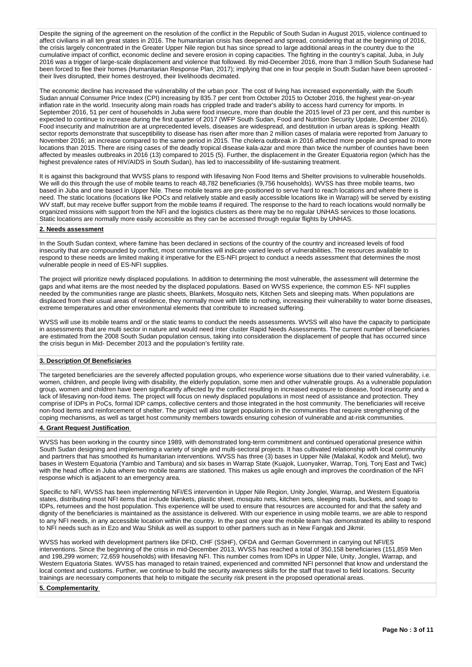Despite the signing of the agreement on the resolution of the conflict in the Republic of South Sudan in August 2015, violence continued to affect civilians in all ten great states in 2016. The humanitarian crisis has deepened and spread, considering that at the beginning of 2016, the crisis largely concentrated in the Greater Upper Nile region but has since spread to large additional areas in the country due to the cumulative impact of conflict, economic decline and severe erosion in coping capacities. The fighting in the country's capital, Juba, in July 2016 was a trigger of large-scale displacement and violence that followed. By mid-December 2016, more than 3 million South Sudanese had been forced to flee their homes (Humanitarian Response Plan, 2017); implying that one in four people in South Sudan have been uprooted their lives disrupted, their homes destroyed, their livelihoods decimated.

The economic decline has increased the vulnerability of the urban poor. The cost of living has increased exponentially, with the South Sudan annual Consumer Price Index (CPI) increasing by 835.7 per cent from October 2015 to October 2016, the highest year-on-year inflation rate in the world. Insecurity along main roads has crippled trade and trader's ability to access hard currency for imports. In September 2016, 51 per cent of households in Juba were food insecure, more than double the 2015 level of 23 per cent, and this number is expected to continue to increase during the first quarter of 2017 (WFP South Sudan, Food and Nutrition Security Update, December 2016). Food insecurity and malnutrition are at unprecedented levels, diseases are widespread, and destitution in urban areas is spiking. Health sector reports demonstrate that susceptibility to disease has risen after more than 2 million cases of malaria were reported from January to November 2016; an increase compared to the same period in 2015. The cholera outbreak in 2016 affected more people and spread to more locations than 2015. There are rising cases of the deadly tropical disease kala-azar and more than twice the number of counties have been affected by measles outbreaks in 2016 (13) compared to 2015 (5). Further, the displacement in the Greater Equatoria region (which has the highest prevalence rates of HIV/AIDS in South Sudan), has led to inaccessibility of life-sustaining treatment.

It is against this background that WVSS plans to respond with lifesaving Non Food Items and Shelter provisions to vulnerable households. We will do this through the use of mobile teams to reach 48,782 beneficiaries (9,756 households). WVSS has three mobile teams, two based in Juba and one based in Upper Nile. These mobile teams are pre-positioned to serve hard to reach locations and where there is need. The static locations (locations like POCs and relatively stable and easily accessible locations like in Warrap) will be served by existing WV staff, but may receive buffer support from the mobile teams if required. The response to the hard to reach locations would normally be organized missions with support from the NFI and the logistics clusters as there may be no regular UNHAS services to those locations. Static locations are normally more easily accessible as they can be accessed through regular flights by UNHAS.

### **2. Needs assessment**

In the South Sudan context, where famine has been declared in sections of the country of the country and increased levels of food insecurity that are compounded by conflict, most communities will indicate varied levels of vulnerabilities. The resources available to respond to these needs are limited making it imperative for the ES-NFI project to conduct a needs assessment that determines the most vulnerable people in need of ES-NFI supplies.

The project will prioritize newly displaced populations. In addition to determining the most vulnerable, the assessment will determine the gaps and what items are the most needed by the displaced populations. Based on WVSS experience, the common ES- NFI supplies needed by the communities range are plastic sheets, Blankets, Mosquito nets, Kitchen Sets and sleeping mats. When populations are displaced from their usual areas of residence, they normally move with little to nothing, increasing their vulnerability to water borne diseases, extreme temperatures and other environmental elements that contribute to increased suffering.

WVSS will use its mobile teams and/ or the static teams to conduct the needs assessments. WVSS will also have the capacity to participate in assessments that are multi sector in nature and would need Inter cluster Rapid Needs Assessments. The current number of beneficiaries are estimated from the 2008 South Sudan population census, taking into consideration the displacement of people that has occurred since the crisis begun in Mid- December 2013 and the population's fertility rate.

## **3. Description Of Beneficiaries**

The targeted beneficiaries are the severely affected population groups, who experience worse situations due to their varied vulnerability, i.e. women, children, and people living with disability, the elderly population, some men and other vulnerable groups. As a vulnerable population group, women and children have been significantly affected by the conflict resulting in increased exposure to disease, food insecurity and a lack of lifesaving non-food items. The project will focus on newly displaced populations in most need of assistance and protection. They comprise of IDPs in PoCs, formal IDP camps, collective centers and those integrated in the host community. The beneficiaries will receive non-food items and reinforcement of shelter. The project will also target populations in the communities that require strengthening of the coping mechanisms, as well as target host community members towards ensuring cohesion of vulnerable and at-risk communities.

### **4. Grant Request Justification**

WVSS has been working in the country since 1989, with demonstrated long-term commitment and continued operational presence within South Sudan designing and implementing a variety of single and multi-sectoral projects. It has cultivated relationship with local community and partners that has smoothed its humanitarian interventions. WVSS has three (3) bases in Upper Nile (Malakal, Kodok and Melut), two bases in Western Equatoria (Yambio and Tambura) and six bases in Warrap State (Kuajok, Luonyaker, Warrap, Tonj, Tonj East and Twic) with the head office in Juba where two mobile teams are stationed. This makes us agile enough and improves the coordination of the NFI response which is adjacent to an emergency area.

Specific to NFI, WVSS has been implementing NFI/ES intervention in Upper Nile Region, Unity Jonglei, Warrap, and Western Equatoria states, distributing most NFI items that include blankets, plastic sheet, mosquito nets, kitchen sets, sleeping mats, buckets, and soap to IDPs, returnees and the host population. This experience will be used to ensure that resources are accounted for and that the safety and dignity of the beneficiaries is maintained as the assistance is delivered. With our experience in using mobile teams, we are able to respond to any NFI needs, in any accessible location within the country. In the past one year the mobile team has demonstrated its ability to respond to NFI needs such as in Ezo and Wau Shiluk as well as support to other partners such as in New Fangak and Jikmir.

WVSS has worked with development partners like DFID, CHF (SSHF), OFDA and German Government in carrying out NFI/ES interventions. Since the beginning of the crisis in mid-December 2013, WVSS has reached a total of 350,158 beneficiaries (151,859 Men and 198,299 women; 72,659 households) with lifesaving NFI. This number comes from IDPs in Upper Nile, Unity, Jonglei, Warrap, and Western Equatoria States. WVSS has managed to retain trained, experienced and committed NFI personnel that know and understand the local context and customs. Further, we continue to build the security awareness skills for the staff that travel to field locations. Security trainings are necessary components that help to mitigate the security risk present in the proposed operational areas.

### **5. Complementarity**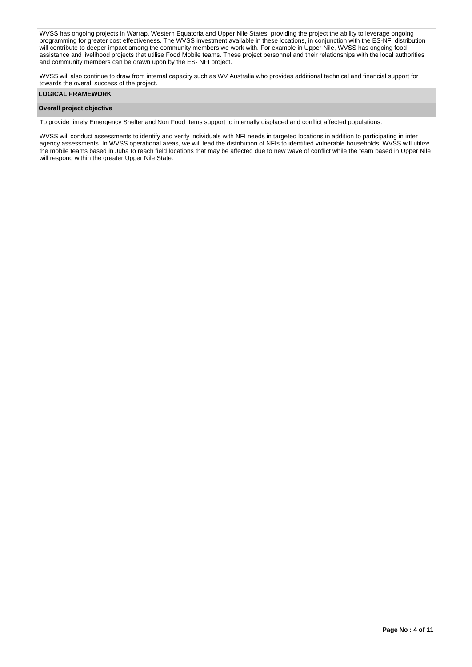WVSS has ongoing projects in Warrap, Western Equatoria and Upper Nile States, providing the project the ability to leverage ongoing programming for greater cost effectiveness. The WVSS investment available in these locations, in conjunction with the ES-NFI distribution will contribute to deeper impact among the community members we work with. For example in Upper Nile, WVSS has ongoing food assistance and livelihood projects that utilise Food Mobile teams. These project personnel and their relationships with the local authorities and community members can be drawn upon by the ES- NFI project.

WVSS will also continue to draw from internal capacity such as WV Australia who provides additional technical and financial support for towards the overall success of the project.

### **LOGICAL FRAMEWORK**

### **Overall project objective**

To provide timely Emergency Shelter and Non Food Items support to internally displaced and conflict affected populations.

WVSS will conduct assessments to identify and verify individuals with NFI needs in targeted locations in addition to participating in inter agency assessments. In WVSS operational areas, we will lead the distribution of NFIs to identified vulnerable households. WVSS will utilize the mobile teams based in Juba to reach field locations that may be affected due to new wave of conflict while the team based in Upper Nile will respond within the greater Upper Nile State.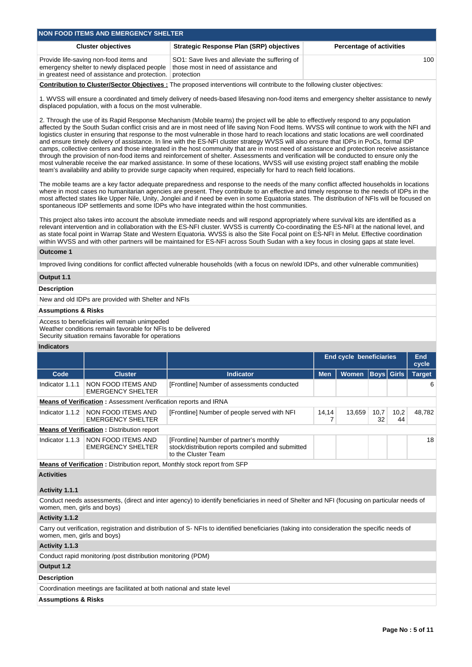| NON FOOD ITEMS AND EMERGENCY SHELTER                                                                                                    |                                                                                                      |                                 |  |  |  |  |  |  |
|-----------------------------------------------------------------------------------------------------------------------------------------|------------------------------------------------------------------------------------------------------|---------------------------------|--|--|--|--|--|--|
| <b>Cluster objectives</b>                                                                                                               | <b>Strategic Response Plan (SRP) objectives</b>                                                      | <b>Percentage of activities</b> |  |  |  |  |  |  |
| Provide life-saving non-food items and<br>emergency shelter to newly displaced people<br>in greatest need of assistance and protection. | SO1: Save lives and alleviate the suffering of<br>those most in need of assistance and<br>protection | 100                             |  |  |  |  |  |  |

**Contribution to Cluster/Sector Objectives :** The proposed interventions will contribute to the following cluster objectives:

1. WVSS will ensure a coordinated and timely delivery of needs-based lifesaving non-food items and emergency shelter assistance to newly displaced population, with a focus on the most vulnerable.

2. Through the use of its Rapid Response Mechanism (Mobile teams) the project will be able to effectively respond to any population affected by the South Sudan conflict crisis and are in most need of life saving Non Food Items. WVSS will continue to work with the NFI and logistics cluster in ensuring that response to the most vulnerable in those hard to reach locations and static locations are well coordinated and ensure timely delivery of assistance. In line with the ES-NFI cluster strategy WVSS will also ensure that IDPs in PoCs, formal IDP camps, collective centers and those integrated in the host community that are in most need of assistance and protection receive assistance through the provision of non-food items and reinforcement of shelter. Assessments and verification will be conducted to ensure only the most vulnerable receive the ear marked assistance. In some of these locations, WVSS will use existing project staff enabling the mobile team's availability and ability to provide surge capacity when required, especially for hard to reach field locations.

The mobile teams are a key factor adequate preparedness and response to the needs of the many conflict affected households in locations where in most cases no humanitarian agencies are present. They contribute to an effective and timely response to the needs of IDPs in the most affected states like Upper Nile, Unity, Jonglei and if need be even in some Equatoria states. The distribution of NFIs will be focused on spontaneous IDP settlements and some IDPs who have integrated within the host communities.

This project also takes into account the absolute immediate needs and will respond appropriately where survival kits are identified as a relevant intervention and in collaboration with the ES-NFI cluster. WVSS is currently Co-coordinating the ES-NFI at the national level, and as state focal point in Warrap State and Western Equatoria. WVSS is also the Site Focal point on ES-NFI in Melut. Effective coordination within WVSS and with other partners will be maintained for ES-NFI across South Sudan with a key focus in closing gaps at state level.

### **Outcome 1**

Improved living conditions for conflict affected vulnerable households (with a focus on new/old IDPs, and other vulnerable communities)

# **Output 1.1**

### **Description**

New and old IDPs are provided with Shelter and NFIs

### **Assumptions & Risks**

Access to beneficiaries will remain unimpeded

Weather conditions remain favorable for NFIs to be delivered

Security situation remains favorable for operations

#### **Indicators**

|                 |                                                                           |                                                                                                                     |            | <b>End cycle beneficiaries</b> |            |                   | <b>End</b><br>cycle |
|-----------------|---------------------------------------------------------------------------|---------------------------------------------------------------------------------------------------------------------|------------|--------------------------------|------------|-------------------|---------------------|
| Code            | <b>Cluster</b>                                                            | <b>Indicator</b>                                                                                                    | <b>Men</b> | <b>Women</b>                   |            | <b>Boys Girls</b> | <b>Target</b>       |
| Indicator 1.1.1 | NON FOOD ITEMS AND<br><b>EMERGENCY SHELTER</b>                            | [Frontline] Number of assessments conducted                                                                         |            |                                |            |                   | 6                   |
|                 | Means of Verification: Assessment /verification reports and IRNA          |                                                                                                                     |            |                                |            |                   |                     |
| Indicator 1.1.2 | NON FOOD ITEMS AND<br><b>EMERGENCY SHELTER</b>                            | [Frontline] Number of people served with NFI                                                                        |            | 13,659                         | 10,7<br>32 | 10,2<br>44        | 48.782              |
|                 | <b>Means of Verification: Distribution report</b>                         |                                                                                                                     |            |                                |            |                   |                     |
| Indicator 1.1.3 | NON FOOD ITEMS AND<br><b>EMERGENCY SHELTER</b>                            | [Frontline] Number of partner's monthly<br>stock/distribution reports compiled and submitted<br>to the Cluster Team |            |                                |            | 18                |                     |
|                 | Moane of Vorification . Distribution report Monthly stock report from SED |                                                                                                                     |            |                                |            |                   |                     |

**Means of Verification** : Distribution report, Monthly stock report from SFI **Activities**

## **Activity 1.1.1**

Conduct needs assessments, (direct and inter agency) to identify beneficiaries in need of Shelter and NFI (focusing on particular needs of women, men, girls and boys)

## **Activity 1.1.2**

Carry out verification, registration and distribution of S- NFIs to identified beneficiaries (taking into consideration the specific needs of women, men, girls and boys)

### **Activity 1.1.3**

Conduct rapid monitoring /post distribution monitoring (PDM)

## **Output 1.2**

### **Description**

Coordination meetings are facilitated at both national and state level

### **Assumptions & Risks**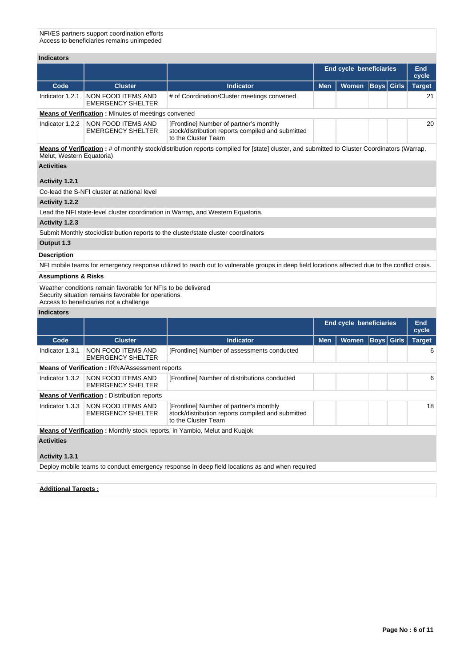NFI/ES partners support coordination efforts Access to beneficiaries remains unimpeded

| <b>Indicators</b>              |                                                                                                                                                                 |                                                                                                                                                 |            |                                |                   |              |               |
|--------------------------------|-----------------------------------------------------------------------------------------------------------------------------------------------------------------|-------------------------------------------------------------------------------------------------------------------------------------------------|------------|--------------------------------|-------------------|--------------|---------------|
|                                |                                                                                                                                                                 |                                                                                                                                                 |            | <b>End cycle beneficiaries</b> |                   |              | End<br>cycle  |
| Code                           | <b>Cluster</b>                                                                                                                                                  | <b>Indicator</b>                                                                                                                                | <b>Men</b> | Women                          | <b>Boys</b> Girls |              | <b>Target</b> |
| Indicator 1.2.1                | NON FOOD ITEMS AND<br><b>EMERGENCY SHELTER</b>                                                                                                                  | # of Coordination/Cluster meetings convened                                                                                                     |            |                                |                   |              | 21            |
|                                | <b>Means of Verification:</b> Minutes of meetings convened                                                                                                      |                                                                                                                                                 |            |                                |                   |              |               |
| Indicator 1.2.2                | NON FOOD ITEMS AND<br><b>EMERGENCY SHELTER</b>                                                                                                                  | [Frontline] Number of partner's monthly<br>stock/distribution reports compiled and submitted<br>to the Cluster Team                             |            |                                |                   |              | 20            |
| Melut, Western Equatoria)      |                                                                                                                                                                 | Means of Verification: # of monthly stock/distribution reports compiled for [state] cluster, and submitted to Cluster Coordinators (Warrap,     |            |                                |                   |              |               |
| <b>Activities</b>              |                                                                                                                                                                 |                                                                                                                                                 |            |                                |                   |              |               |
| Activity 1.2.1                 |                                                                                                                                                                 |                                                                                                                                                 |            |                                |                   |              |               |
|                                | Co-lead the S-NFI cluster at national level                                                                                                                     |                                                                                                                                                 |            |                                |                   |              |               |
| Activity 1.2.2                 |                                                                                                                                                                 |                                                                                                                                                 |            |                                |                   |              |               |
|                                |                                                                                                                                                                 | Lead the NFI state-level cluster coordination in Warrap, and Western Equatoria.                                                                 |            |                                |                   |              |               |
| Activity 1.2.3                 |                                                                                                                                                                 |                                                                                                                                                 |            |                                |                   |              |               |
|                                |                                                                                                                                                                 | Submit Monthly stock/distribution reports to the cluster/state cluster coordinators                                                             |            |                                |                   |              |               |
| Output 1.3                     |                                                                                                                                                                 |                                                                                                                                                 |            |                                |                   |              |               |
| <b>Description</b>             |                                                                                                                                                                 |                                                                                                                                                 |            |                                |                   |              |               |
|                                |                                                                                                                                                                 | NFI mobile teams for emergency response utilized to reach out to vulnerable groups in deep field locations affected due to the conflict crisis. |            |                                |                   |              |               |
| <b>Assumptions &amp; Risks</b> |                                                                                                                                                                 |                                                                                                                                                 |            |                                |                   |              |               |
|                                | Weather conditions remain favorable for NFIs to be delivered<br>Security situation remains favorable for operations.<br>Access to beneficiaries not a challenge |                                                                                                                                                 |            |                                |                   |              |               |
| <b>Indicators</b>              |                                                                                                                                                                 |                                                                                                                                                 |            |                                |                   |              |               |
|                                |                                                                                                                                                                 |                                                                                                                                                 |            | <b>End cycle beneficiaries</b> |                   |              | End<br>cycle  |
| Code                           | <b>Cluster</b>                                                                                                                                                  | <b>Indicator</b>                                                                                                                                | <b>Men</b> | Women                          | Boys              | <b>Girls</b> | <b>Target</b> |
| Indicator 1.3.1                | NON FOOD ITEMS AND<br><b>EMERGENCY SHELTER</b>                                                                                                                  | [Frontline] Number of assessments conducted                                                                                                     |            |                                |                   |              | 6             |
|                                | <b>Means of Verification: IRNA/Assessment reports</b>                                                                                                           |                                                                                                                                                 |            |                                |                   |              |               |
| Indicator 1.3.2                | NON FOOD ITEMS AND<br><b>EMERGENCY SHELTER</b>                                                                                                                  | [Frontline] Number of distributions conducted                                                                                                   |            |                                |                   |              | 6             |
|                                | <b>Means of Verification : Distribution reports</b>                                                                                                             |                                                                                                                                                 |            |                                |                   |              |               |
|                                | Indicator 1.3.3   NON FOOD ITEMS AND<br><b>EMERGENCY SHELTER</b>                                                                                                | [Frontline] Number of partner's monthly<br>stock/distribution reports compiled and submitted<br>to the Cluster Team                             |            |                                |                   |              | 18            |
|                                |                                                                                                                                                                 | Means of Verification: Monthly stock reports, in Yambio, Melut and Kuajok                                                                       |            |                                |                   |              |               |
| <b>Activities</b>              |                                                                                                                                                                 |                                                                                                                                                 |            |                                |                   |              |               |
| Activity 1.3.1                 |                                                                                                                                                                 |                                                                                                                                                 |            |                                |                   |              |               |
|                                |                                                                                                                                                                 | Deploy mobile teams to conduct emergency response in deep field locations as and when required                                                  |            |                                |                   |              |               |

**Additional Targets :**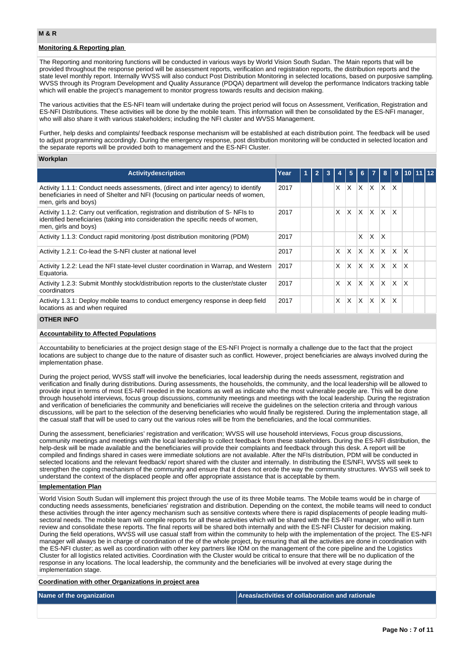## **Monitoring & Reporting plan**

The Reporting and monitoring functions will be conducted in various ways by World Vision South Sudan. The Main reports that will be provided throughout the response period will be assessment reports, verification and registration reports, the distribution reports and the state level monthly report. Internally WVSS will also conduct Post Distribution Monitoring in selected locations, based on purposive sampling. WVSS through its Program Development and Quality Assurance (PDQA) department will develop the performance Indicators tracking table which will enable the project's management to monitor progress towards results and decision making.

The various activities that the ES-NFI team will undertake during the project period will focus on Assessment, Verification, Registration and ES-NFI Distributions. These activities will be done by the mobile team. This information will then be consolidated by the ES-NFI manager, who will also share it with various stakeholders; including the NFI cluster and WVSS Management.

Further, help desks and complaints/ feedback response mechanism will be established at each distribution point. The feedback will be used to adjust programming accordingly. During the emergency response, post distribution monitoring will be conducted in selected location and the separate reports will be provided both to management and the ES-NFI Cluster.

#### **Workplan**

| <b>Activity description</b>                                                                                                                                                                    | Year | $\blacktriangleleft$ | $\mathbf{2}$ |   | 5 <sup>5</sup> | 6           | $\overline{7}$ | 8        | $\overline{9}$ | 110111112    |  |
|------------------------------------------------------------------------------------------------------------------------------------------------------------------------------------------------|------|----------------------|--------------|---|----------------|-------------|----------------|----------|----------------|--------------|--|
| Activity 1.1.1: Conduct needs assessments, (direct and inter agency) to identify<br>beneficiaries in need of Shelter and NFI (focusing on particular needs of women,<br>men, girls and boys)   | 2017 |                      |              | X | X.             | $X$ $X$ $X$ |                |          | $\mathsf{X}$   |              |  |
| Activity 1.1.2: Carry out verification, registration and distribution of S-NFIs to<br>identified beneficiaries (taking into consideration the specific needs of women,<br>men, girls and boys) | 2017 |                      |              | X | $\mathsf{X}$   | ΙX.         | $\mathsf{X}$   | IX.      | <sup>X</sup>   |              |  |
| Activity 1.1.3: Conduct rapid monitoring /post distribution monitoring (PDM)                                                                                                                   | 2017 |                      |              |   |                | X           | ΙX.            | <b>X</b> |                |              |  |
| Activity 1.2.1: Co-lead the S-NFI cluster at national level                                                                                                                                    | 2017 |                      |              | X | $\times$       | ΙX.         | $\mathsf{X}$   | <b>X</b> | <b>X</b>       | $\mathsf{X}$ |  |
| Activity 1.2.2: Lead the NFI state-level cluster coordination in Warrap, and Western<br>Equatoria.                                                                                             | 2017 |                      |              | X | <b>X</b>       | $X$ $X$ $X$ |                |          | ΙX.            | <sup>X</sup> |  |
| Activity 1.2.3: Submit Monthly stock/distribution reports to the cluster/state cluster<br>coordinators                                                                                         | 2017 |                      |              | X | $\times$       | ΙX.         | $\mathsf{X}$   | <b>X</b> | ΙX.            | $\mathsf{x}$ |  |
| Activity 1.3.1: Deploy mobile teams to conduct emergency response in deep field<br>locations as and when required                                                                              | 2017 |                      |              | x | X              | <b>X</b>    | $\mathsf{X}$   | IX.      | $\mathsf{x}$   |              |  |

#### **OTHER INFO**

### **Accountability to Affected Populations**

Accountability to beneficiaries at the project design stage of the ES-NFI Project is normally a challenge due to the fact that the project locations are subject to change due to the nature of disaster such as conflict. However, project beneficiaries are always involved during the implementation phase.

During the project period, WVSS staff will involve the beneficiaries, local leadership during the needs assessment, registration and verification and finally during distributions. During assessments, the households, the community, and the local leadership will be allowed to provide input in terms of most ES-NFI needed in the locations as well as indicate who the most vulnerable people are. This will be done through household interviews, focus group discussions, community meetings and meetings with the local leadership. During the registration and verification of beneficiaries the community and beneficiaries will receive the guidelines on the selection criteria and through various discussions, will be part to the selection of the deserving beneficiaries who would finally be registered. During the implementation stage, all the casual staff that will be used to carry out the various roles will be from the beneficiaries, and the local communities.

During the assessment, beneficiaries' registration and verification; WVSS will use household interviews, Focus group discussions, community meetings and meetings with the local leadership to collect feedback from these stakeholders. During the ES-NFI distribution, the help-desk will be made available and the beneficiaries will provide their complaints and feedback through this desk. A report will be compiled and findings shared in cases were immediate solutions are not available. After the NFIs distribution, PDM will be conducted in selected locations and the relevant feedback/ report shared with the cluster and internally. In distributing the ES/NFI, WVSS will seek to strengthen the coping mechanism of the community and ensure that it does not erode the way the community structures. WVSS will seek to understand the context of the displaced people and offer appropriate assistance that is acceptable by them.

### **Implementation Plan**

World Vision South Sudan will implement this project through the use of its three Mobile teams. The Mobile teams would be in charge of conducting needs assessments, beneficiaries' registration and distribution. Depending on the context, the mobile teams will need to conduct these activities through the inter agency mechanism such as sensitive contexts where there is rapid displacements of people leading multisectoral needs. The mobile team will compile reports for all these activities which will be shared with the ES-NFI manager, who will in turn review and consolidate these reports. The final reports will be shared both internally and with the ES-NFI Cluster for decision making. During the field operations, WVSS will use casual staff from within the community to help with the implementation of the project. The ES-NFI manager will always be in charge of coordination of the of the whole project, by ensuring that all the activities are done in coordination with the ES-NFI cluster; as well as coordination with other key partners like IOM on the management of the core pipeline and the Logistics Cluster for all logistics related activities. Coordination with the Cluster would be critical to ensure that there will be no duplication of the response in any locations. The local leadership, the community and the beneficiaries will be involved at every stage during the implementation stage.

**Coordination with other Organizations in project area**

**Name of the organization Areas/activities of collaboration and rationale**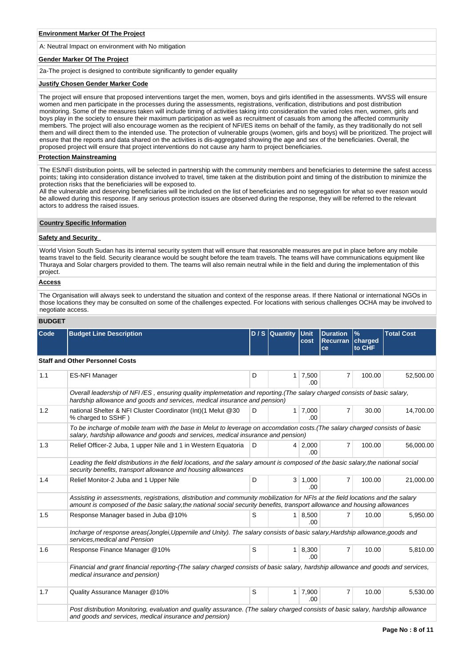#### **Environment Marker Of The Project**

A: Neutral Impact on environment with No mitigation

### **Gender Marker Of The Project**

2a-The project is designed to contribute significantly to gender equality

#### **Justify Chosen Gender Marker Code**

The project will ensure that proposed interventions target the men, women, boys and girls identified in the assessments. WVSS will ensure women and men participate in the processes during the assessments, registrations, verification, distributions and post distribution monitoring. Some of the measures taken will include timing of activities taking into consideration the varied roles men, women, girls and boys play in the society to ensure their maximum participation as well as recruitment of casuals from among the affected community members. The project will also encourage women as the recipient of NFI/ES items on behalf of the family, as they traditionally do not sell them and will direct them to the intended use. The protection of vulnerable groups (women, girls and boys) will be prioritized. The project will ensure that the reports and data shared on the activities is dis-aggregated showing the age and sex of the beneficiaries. Overall, the proposed project will ensure that project interventions do not cause any harm to project beneficiaries.

#### **Protection Mainstreaming**

The ES/NFI distribution points, will be selected in partnership with the community members and beneficiaries to determine the safest access points; taking into consideration distance involved to travel, time taken at the distribution point and timing of the distribution to minimize the protection risks that the beneficiaries will be exposed to.

All the vulnerable and deserving beneficiaries will be included on the list of beneficiaries and no segregation for what so ever reason would be allowed during this response. If any serious protection issues are observed during the response, they will be referred to the relevant actors to address the raised issues.

### **Country Specific Information**

### **Safety and Security**

World Vision South Sudan has its internal security system that will ensure that reasonable measures are put in place before any mobile teams travel to the field. Security clearance would be sought before the team travels. The teams will have communications equipment like Thuraya and Solar chargers provided to them. The teams will also remain neutral while in the field and during the implementation of this project.

### **Access**

The Organisation will always seek to understand the situation and context of the response areas. If there National or international NGOs in those locations they may be consulted on some of the challenges expected. For locations with serious challenges OCHA may be involved to negotiate access.

#### **BUDGET**

| <b>Code</b> | <b>Budget Line Description</b>                                                                                                                                                                                                                               |   | $D/S$ Quantity | Unit<br>cost          | <b>Duration</b><br>Recurran charged<br>ce | $\frac{9}{6}$<br>to CHF | <b>Total Cost</b> |
|-------------|--------------------------------------------------------------------------------------------------------------------------------------------------------------------------------------------------------------------------------------------------------------|---|----------------|-----------------------|-------------------------------------------|-------------------------|-------------------|
|             | <b>Staff and Other Personnel Costs</b>                                                                                                                                                                                                                       |   |                |                       |                                           |                         |                   |
| 1.1         | <b>ES-NFI Manager</b>                                                                                                                                                                                                                                        | D | $\mathbf{1}$   | 7,500<br>.00          | 7                                         | 100.00                  | 52,500.00         |
|             | Overall leadership of NFI/ES, ensuring quality implemetation and reporting.(The salary charged consists of basic salary,<br>hardship allowance and goods and services, medical insurance and pension)                                                        |   |                |                       |                                           |                         |                   |
| 1.2         | national Shelter & NFI Cluster Coordinator (Int) (1 Melut @30<br>% charged to SSHF)                                                                                                                                                                          | D | 1 <sup>1</sup> | 7,000<br>.00.         | $\overline{7}$                            | 30.00                   | 14,700.00         |
|             | To be incharge of mobile team with the base in Melut to leverage on accomdation costs. (The salary charged consists of basic<br>salary, hardship allowance and goods and services, medical insurance and pension)                                            |   |                |                       |                                           |                         |                   |
| 1.3         | Relief Officer-2 Juba, 1 upper Nile and 1 in Western Equatoria                                                                                                                                                                                               | D |                | 4 2,000<br>.00        | $\overline{7}$                            | 100.00                  | 56,000.00         |
|             | Leading the field distributions in the field locations, and the salary amount is composed of the basic salary, the national social<br>security benefits, transport allowance and housing allowances                                                          |   |                |                       |                                           |                         |                   |
| 1.4         | Relief Monitor-2 Juba and 1 Upper Nile                                                                                                                                                                                                                       | D |                | $3 \mid 1,000$<br>-00 | $\overline{7}$                            | 100.00                  | 21,000.00         |
|             | Assisting in assessments, registrations, distribution and community mobilization for NFIs at the field locations and the salary<br>amount is composed of the basic salary, the national social security benefits, transport allowance and housing allowances |   |                |                       |                                           |                         |                   |
| 1.5         | Response Manager based in Juba @10%                                                                                                                                                                                                                          | S | 1 <sup>1</sup> | 8,500<br>.00          | $\overline{7}$                            | 10.00                   | 5,950.00          |
|             | Incharge of response areas(Jonglei,Uppernile and Unity). The salary consists of basic salary, Hardship allowance, goods and<br>services, medical and Pension                                                                                                 |   |                |                       |                                           |                         |                   |
| 1.6         | Response Finance Manager @10%                                                                                                                                                                                                                                | S | 1              | 8,300<br>.00          | $\overline{7}$                            | 10.00                   | 5,810.00          |
|             | Financial and grant financial reporting-(The salary charged consists of basic salary, hardship allowance and goods and services,<br>medical insurance and pension)                                                                                           |   |                |                       |                                           |                         |                   |
| 1.7         | Quality Assurance Manager @10%                                                                                                                                                                                                                               | S | 1              | 7,900<br>.ററ          | $\overline{7}$                            | 10.00                   | 5,530.00          |
|             | Post distribution Monitoring, evaluation and quality assurance. (The salary charged consists of basic salary, hardship allowance<br>and goods and services, medical insurance and pension)                                                                   |   |                |                       |                                           |                         |                   |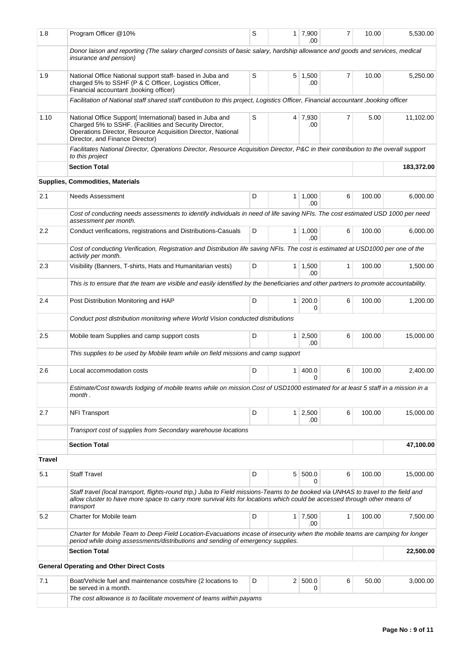| 1.8           | Program Officer @10%                                                                                                                                                                                                                                                         | S |                | $1 \mid 7,900$<br>.00 | $\overline{7}$ | 10.00  | 5,530.00   |
|---------------|------------------------------------------------------------------------------------------------------------------------------------------------------------------------------------------------------------------------------------------------------------------------------|---|----------------|-----------------------|----------------|--------|------------|
|               | Donor laison and reporting (The salary charged consists of basic salary, hardship allowance and goods and services, medical<br>insurance and pension)                                                                                                                        |   |                |                       |                |        |            |
| 1.9           | National Office National support staff- based in Juba and<br>charged 5% to SSHF (P & C Officer, Logistics Officer,<br>Financial accountant , booking officer)                                                                                                                | S |                | $5 \mid 1,500$<br>.00 | 7              | 10.00  | 5,250.00   |
|               | Facilitation of National staff shared staff contibution to this project, Logistics Officer, Financial accountant, booking officer                                                                                                                                            |   |                |                       |                |        |            |
| 1.10          | National Office Support(International) based in Juba and<br>Charged 5% to SSHF. (Facilities and Security Director,<br>Operations Director, Resource Acquisition Director, National<br>Director, and Finance Director)                                                        | S |                | 4 7,930<br>.00        | 7              | 5.00   | 11,102.00  |
|               | Facilitates National Director, Operations Director, Resource Acquisition Director, P&C in their contribution to the overall support<br>to this project                                                                                                                       |   |                |                       |                |        |            |
|               | <b>Section Total</b>                                                                                                                                                                                                                                                         |   |                |                       |                |        | 183,372.00 |
|               | Supplies, Commodities, Materials                                                                                                                                                                                                                                             |   |                |                       |                |        |            |
| 2.1           | Needs Assessment                                                                                                                                                                                                                                                             | D |                | $1 \mid 1,000$<br>.00 | 6              | 100.00 | 6,000.00   |
|               | Cost of conducting needs assessments to identify individuals in need of life saving NFIs. The cost estimated USD 1000 per need<br>assessment per month.                                                                                                                      |   |                |                       |                |        |            |
| 2.2           | Conduct verifications, registrations and Distributions-Casuals                                                                                                                                                                                                               | D |                | $1 \mid 1,000$<br>.00 | 6              | 100.00 | 6.000.00   |
|               | Cost of conducting Verification, Registration and Distribution life saving NFIs. The cost is estimated at USD1000 per one of the<br>activity per month.                                                                                                                      |   |                |                       |                |        |            |
| 2.3           | Visibility (Banners, T-shirts, Hats and Humanitarian vests)                                                                                                                                                                                                                  | D |                | $1 \mid 1,500$        | 1              | 100.00 | 1,500.00   |
|               | This is to ensure that the team are visible and easily identified by the beneficiaries and other partners to promote accountability.                                                                                                                                         |   |                | .00                   |                |        |            |
| 2.4           | Post Distribution Monitoring and HAP                                                                                                                                                                                                                                         | D | 1 <sup>1</sup> | 200.0                 | 6              | 100.00 | 1,200.00   |
|               | Conduct post distribution monitoring where World Vision conducted distributions                                                                                                                                                                                              |   |                | 0                     |                |        |            |
| 2.5           | Mobile team Supplies and camp support costs                                                                                                                                                                                                                                  | D |                | $1 \mid 2,500$        | 6              | 100.00 | 15,000.00  |
|               |                                                                                                                                                                                                                                                                              |   |                | .00                   |                |        |            |
|               | This supplies to be used by Mobile team while on field missions and camp support                                                                                                                                                                                             |   |                |                       |                |        |            |
| 2.6           | Local accommodation costs                                                                                                                                                                                                                                                    | D | 1 <sup>1</sup> | 400.0<br>0            | 6              | 100.00 | 2,400.00   |
|               | Estimate/Cost towards lodging of mobile teams while on mission.Cost of USD1000 estimated for at least 5 staff in a mission in a<br>month.                                                                                                                                    |   |                |                       |                |        |            |
| 2.7           | <b>NFI Transport</b>                                                                                                                                                                                                                                                         | D |                | $1 \mid 2,500$<br>.00 | 6              | 100.00 | 15,000.00  |
|               | Transport cost of supplies from Secondary warehouse locations                                                                                                                                                                                                                |   |                |                       |                |        |            |
|               | <b>Section Total</b>                                                                                                                                                                                                                                                         |   |                |                       |                |        | 47,100.00  |
| <b>Travel</b> |                                                                                                                                                                                                                                                                              |   |                |                       |                |        |            |
| 5.1           | <b>Staff Travel</b>                                                                                                                                                                                                                                                          | D |                | 5 500.0<br>0          | 6              | 100.00 | 15,000.00  |
|               | Staff travel (local transport, flights-round trip,) Juba to Field missions-Teams to be booked via UNHAS to travel to the field and<br>allow cluster to have more space to carry more survival kits for locations which could be accessed through other means of<br>transport |   |                |                       |                |        |            |
| 5.2           | Charter for Mobile team                                                                                                                                                                                                                                                      | D |                | $1 \mid 7,500$<br>.00 | 1              | 100.00 | 7,500.00   |
|               | Charter for Mobile Team to Deep Field Location-Evacuations incase of insecurity when the mobile teams are camping for longer<br>period while doing assessments/distributions and sending of emergency supplies.                                                              |   |                |                       |                |        |            |
|               | <b>Section Total</b>                                                                                                                                                                                                                                                         |   |                |                       |                |        | 22,500.00  |
|               | <b>General Operating and Other Direct Costs</b>                                                                                                                                                                                                                              |   |                |                       |                |        |            |
| 7.1           | Boat/Vehicle fuel and maintenance costs/hire (2 locations to<br>be served in a month.                                                                                                                                                                                        | D |                | 2   500.0<br>0        | 6              | 50.00  | 3,000.00   |
|               | The cost allowance is to facilitate movement of teams within payams                                                                                                                                                                                                          |   |                |                       |                |        |            |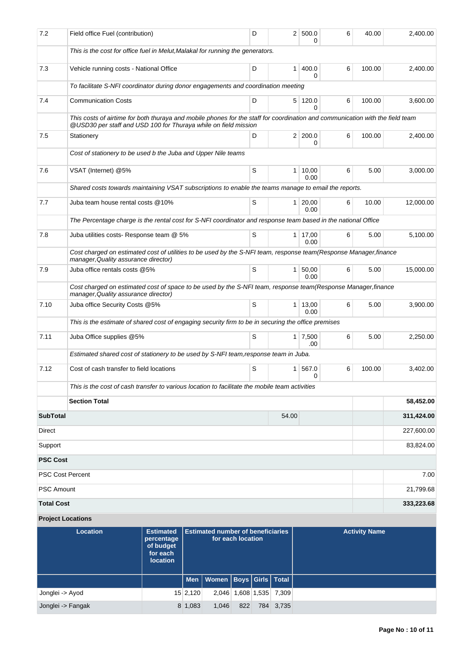| 7.2                     | Field office Fuel (contribution)                                                                                                                                                                 | D | 2 <sup>1</sup> | 500.0<br>0             | 6 | 40.00  | 2,400.00   |
|-------------------------|--------------------------------------------------------------------------------------------------------------------------------------------------------------------------------------------------|---|----------------|------------------------|---|--------|------------|
|                         | This is the cost for office fuel in Melut, Malakal for running the generators.                                                                                                                   |   |                |                        |   |        |            |
| 7.3                     | Vehicle running costs - National Office                                                                                                                                                          | D | 1 <sup>1</sup> | 400.0<br>$\Omega$      | 6 | 100.00 | 2,400.00   |
|                         | To facilitate S-NFI coordinator during donor engagements and coordination meeting                                                                                                                |   |                |                        |   |        |            |
| 7.4                     | <b>Communication Costs</b>                                                                                                                                                                       | D |                | 5 120.0<br>0           | 6 | 100.00 | 3,600.00   |
|                         | This costs of airtime for both thuraya and mobile phones for the staff for coordination and communication with the field team<br>@USD30 per staff and USD 100 for Thuraya while on field mission |   |                |                        |   |        |            |
| 7.5                     | Stationery                                                                                                                                                                                       | D |                | 2 200.0<br>0           | 6 | 100.00 | 2,400.00   |
|                         | Cost of stationery to be used b the Juba and Upper Nile teams                                                                                                                                    |   |                |                        |   |        |            |
| 7.6                     | VSAT (Internet) @5%                                                                                                                                                                              | S |                | $1 \mid 10,00$<br>0.00 | 6 | 5.00   | 3,000.00   |
|                         | Shared costs towards maintaining VSAT subscriptions to enable the teams manage to email the reports.                                                                                             |   |                |                        |   |        |            |
| 7.7                     | Juba team house rental costs @10%                                                                                                                                                                | S |                | $1 \ 20,00$<br>0.00    | 6 | 10.00  | 12,000.00  |
|                         | The Percentage charge is the rental cost for S-NFI coordinator and response team based in the national Office                                                                                    |   |                |                        |   |        |            |
| 7.8                     | Juba utilities costs- Response team @ 5%                                                                                                                                                         | S |                | 1   17,00<br>0.00      | 6 | 5.00   | 5,100.00   |
|                         | Cost charged on estimated cost of utilities to be used by the S-NFI team, response team(Response Manager, finance<br>manager, Quality assurance director)                                        |   |                |                        |   |        |            |
| 7.9                     | Juba office rentals costs @5%                                                                                                                                                                    | S |                | $1 \, 50,00$<br>0.00   | 6 | 5.00   | 15,000.00  |
|                         | Cost charged on estimated cost of space to be used by the S-NFI team, response team(Response Manager, finance<br>manager, Quality assurance director)                                            |   |                |                        |   |        |            |
| 7.10                    | Juba office Security Costs @5%                                                                                                                                                                   | S | 1 <sup>1</sup> | 13,00<br>0.00          | 6 | 5.00   | 3,900.00   |
|                         | This is the estimate of shared cost of engaging security firm to be in securing the office premises                                                                                              |   |                |                        |   |        |            |
| 7.11                    | Juba Office supplies @5%                                                                                                                                                                         | S |                | $1 \mid 7,500$<br>.00  | 6 | 5.00   | 2,250.00   |
|                         | Estimated shared cost of stationery to be used by S-NFI team, response team in Juba.                                                                                                             |   |                |                        |   |        |            |
| 7.12                    | Cost of cash transfer to field locations                                                                                                                                                         | S | 1 <sup>1</sup> | 567.0<br>0             | 6 | 100.00 | 3,402.00   |
|                         | This is the cost of cash transfer to various location to facilitate the mobile team activities                                                                                                   |   |                |                        |   |        |            |
|                         | <b>Section Total</b>                                                                                                                                                                             |   |                |                        |   |        | 58,452.00  |
| <b>SubTotal</b>         |                                                                                                                                                                                                  |   | 54.00          |                        |   |        | 311,424.00 |
| Direct                  |                                                                                                                                                                                                  |   |                |                        |   |        | 227,600.00 |
| Support                 |                                                                                                                                                                                                  |   |                |                        |   |        | 83,824.00  |
| <b>PSC Cost</b>         |                                                                                                                                                                                                  |   |                |                        |   |        |            |
| <b>PSC Cost Percent</b> |                                                                                                                                                                                                  |   |                |                        |   |        | 7.00       |
| <b>PSC Amount</b>       |                                                                                                                                                                                                  |   |                |                        |   |        | 21,799.68  |
| <b>Total Cost</b>       |                                                                                                                                                                                                  |   |                |                        |   |        | 333,223.68 |
|                         | <b>Project Locations</b>                                                                                                                                                                         |   |                |                        |   |        |            |

| <b>Location</b>   | <b>Estimated</b><br>percentage<br>of budget<br>for each<br><b>location</b> |          | <b>Estimated number of beneficiaries</b> | for each location |             |           | <b>Activity Name</b> |
|-------------------|----------------------------------------------------------------------------|----------|------------------------------------------|-------------------|-------------|-----------|----------------------|
|                   |                                                                            |          | Men   Women   Boys   Girls   Total       |                   |             |           |                      |
| Jonglei -> Ayod   |                                                                            | 15 2,120 | 2.046                                    |                   | 1,608 1,535 | 7,309     |                      |
| Jonglei -> Fangak |                                                                            | 8 1,083  | 1,046                                    | 822               |             | 784 3,735 |                      |